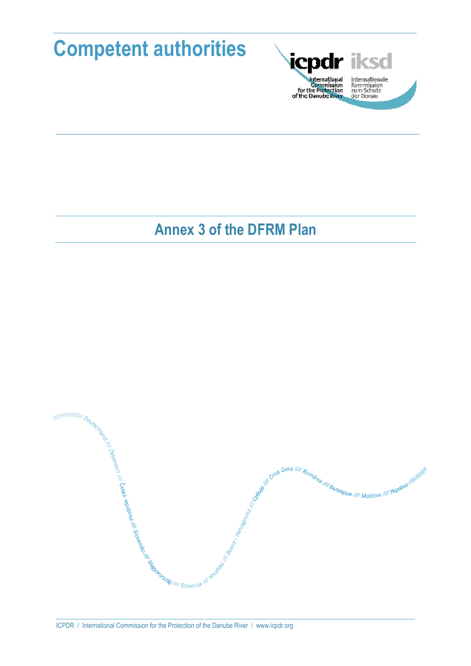



Internationale<br>Kommission<br>zum Schutz<br>der Donau

# **Annex 3 of the DFRM Plan**